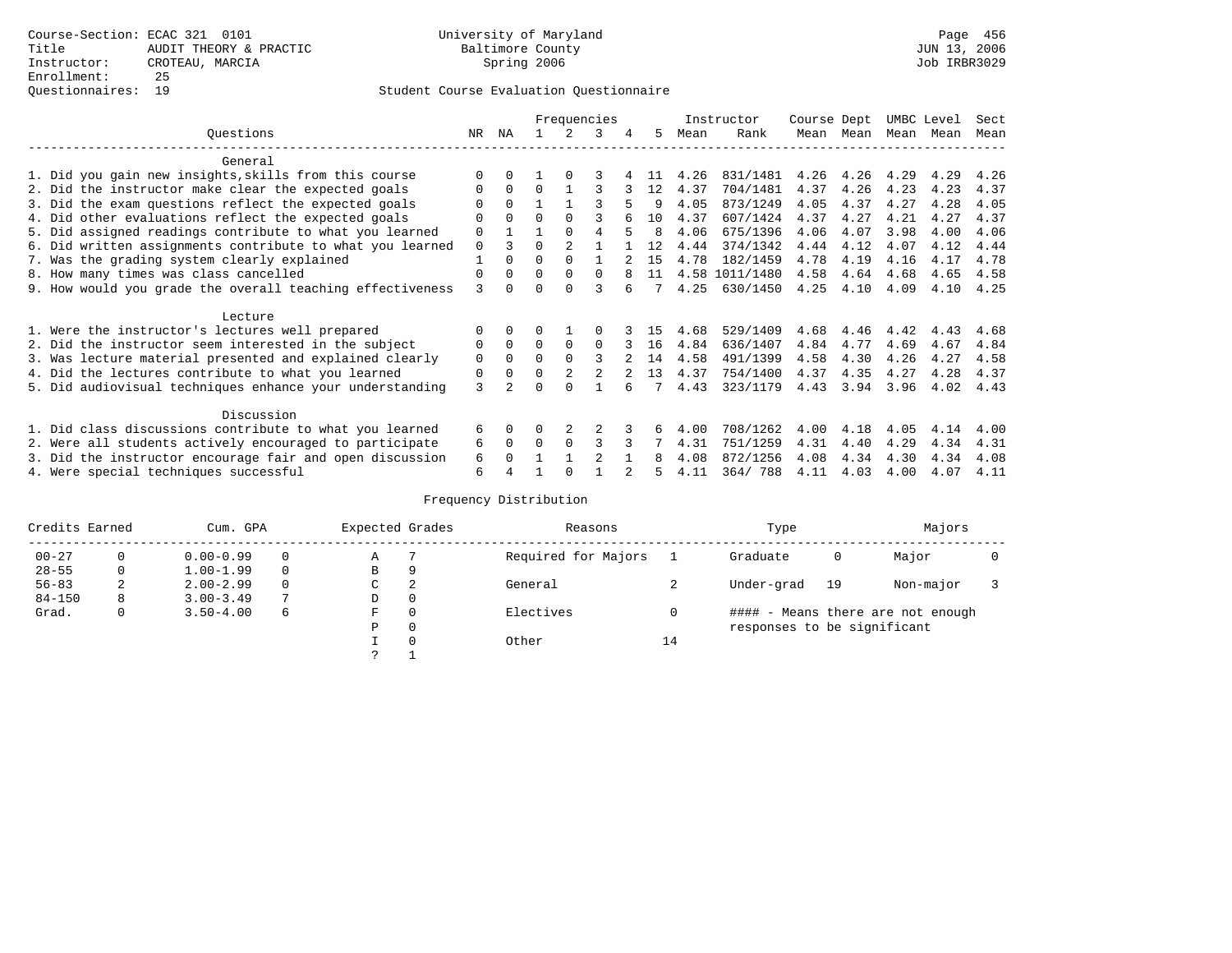### Student Course Evaluation Questionnaire

|                                                           |          |              | Frequencies |                |                |   | Instructor | Course Dept |                | UMBC Level |           | Sect |      |      |
|-----------------------------------------------------------|----------|--------------|-------------|----------------|----------------|---|------------|-------------|----------------|------------|-----------|------|------|------|
| Ouestions                                                 | NR       | ΝA           |             | 2              | 3              | 4 | 5          | Mean        | Rank           |            | Mean Mean | Mean | Mean | Mean |
| General                                                   |          |              |             |                |                |   |            |             |                |            |           |      |      |      |
| 1. Did you gain new insights, skills from this course     |          | 0            |             | $\Omega$       |                |   | 11         | 4.26        | 831/1481       | 4.26       | 4.26      | 4.29 | 4.29 | 4.26 |
| 2. Did the instructor make clear the expected goals       | 0        | $\Omega$     | 0           |                |                |   | 12         | 4.37        | 704/1481       | 4.37       | 4.26      | 4.23 | 4.23 | 4.37 |
| 3. Did the exam questions reflect the expected goals      |          | $\Omega$     |             |                |                |   | 9          | 4.05        | 873/1249       | 4.05       | 4.37      | 4.27 | 4.28 | 4.05 |
| 4. Did other evaluations reflect the expected goals       | O        | $\Omega$     | $\Omega$    | $\Omega$       |                |   | 10         | 4.37        | 607/1424       | 4.37       | 4.27      | 4.21 | 4.27 | 4.37 |
| 5. Did assigned readings contribute to what you learned   | 0        |              |             | $\Omega$       | 4              | 5 | 8          | 4.06        | 675/1396       | 4.06       | 4.07      | 3.98 | 4.00 | 4.06 |
| 6. Did written assignments contribute to what you learned | 0        | ζ            | $\Omega$    | $\mathfrak{D}$ |                |   | 12         | 4.44        | 374/1342       | 4.44       | 4.12      | 4.07 | 4.12 | 4.44 |
| 7. Was the grading system clearly explained               |          | $\Omega$     | 0           | $\Omega$       |                |   | 15         | 4.78        | 182/1459       | 4.78       | 4.19      | 4.16 | 4.17 | 4.78 |
| 8. How many times was class cancelled                     | $\Omega$ | $\Omega$     | $\Omega$    | $\Omega$       | $\Omega$       |   | 11         |             | 4.58 1011/1480 | 4.58       | 4.64      | 4.68 | 4.65 | 4.58 |
| 9. How would you grade the overall teaching effectiveness | 3        | <sup>n</sup> |             | $\cap$         |                |   |            | 4.25        | 630/1450       | 4.25       | 4.10      | 4.09 | 4.10 | 4.25 |
| Lecture                                                   |          |              |             |                |                |   |            |             |                |            |           |      |      |      |
| 1. Were the instructor's lectures well prepared           |          | $\Omega$     |             |                |                |   | 15         | 4.68        | 529/1409       | 4.68       | 4.46      | 4.42 | 4.43 | 4.68 |
| 2. Did the instructor seem interested in the subject      | 0        | $\Omega$     | $\Omega$    | $\Omega$       | $\Omega$       |   | 16         | 4.84        | 636/1407       | 4.84       | 4.77      | 4.69 | 4.67 | 4.84 |
| 3. Was lecture material presented and explained clearly   | 0        | $\Omega$     | 0           | $\Omega$       | 3              |   | 14         | 4.58        | 491/1399       | 4.58       | 4.30      | 4.26 | 4.27 | 4.58 |
| 4. Did the lectures contribute to what you learned        | 0        | $\Omega$     | $\Omega$    | $\overline{2}$ | 2              |   | 13         | 4.37        | 754/1400       | 4.37       | 4.35      | 4.27 | 4.28 | 4.37 |
| 5. Did audiovisual techniques enhance your understanding  | 3        |              |             |                |                |   |            | 4.43        | 323/1179       | 4.43       | 3.94      | 3.96 | 4.02 | 4.43 |
| Discussion                                                |          |              |             |                |                |   |            |             |                |            |           |      |      |      |
| 1. Did class discussions contribute to what you learned   | б.       | $\Omega$     | U           |                |                |   |            | 4.00        | 708/1262       | 4.00       | 4.18      | 4.05 | 4.14 | 4.00 |
| 2. Were all students actively encouraged to participate   | 6        | $\mathbf 0$  | $\Omega$    | 0              | 3              |   |            | 4.31        | 751/1259       | 4.31       | 4.40      | 4.29 | 4.34 | 4.31 |
| 3. Did the instructor encourage fair and open discussion  | 6        |              |             |                | $\mathfrak{D}$ |   | 8          | 4.08        | 872/1256       | 4.08       | 4.34      | 4.30 | 4.34 | 4.08 |
| 4. Were special techniques successful                     | 6        |              |             |                |                |   |            | 4.11        | 364/788        | 4.11       | 4.03      | 4.00 | 4.07 | 4.11 |

# Frequency Distribution

| Credits Earned |   | Cum. GPA      | Expected Grades |   | Reasons  |                     | Type | Majors                      |    |                                   |  |
|----------------|---|---------------|-----------------|---|----------|---------------------|------|-----------------------------|----|-----------------------------------|--|
| $00 - 27$      | 0 | $0.00 - 0.99$ |                 | Α |          | Required for Majors |      | Graduate                    | 0  | Major                             |  |
| $28 - 55$      | 0 | $1.00 - 1.99$ |                 | B | 9        |                     |      |                             |    |                                   |  |
| $56 - 83$      | 2 | $2.00 - 2.99$ |                 | C | 2        | General             |      | Under-grad                  | 19 | Non-major                         |  |
| $84 - 150$     | 8 | $3.00 - 3.49$ | $\overline{ }$  | D | 0        |                     |      |                             |    |                                   |  |
| Grad.          | 0 | $3.50 - 4.00$ | 6               | F | 0        | Electives           |      |                             |    | #### - Means there are not enough |  |
|                |   |               |                 | Ρ | 0        |                     |      | responses to be significant |    |                                   |  |
|                |   |               |                 |   | $\Omega$ | Other               | 14   |                             |    |                                   |  |
|                |   |               |                 | っ |          |                     |      |                             |    |                                   |  |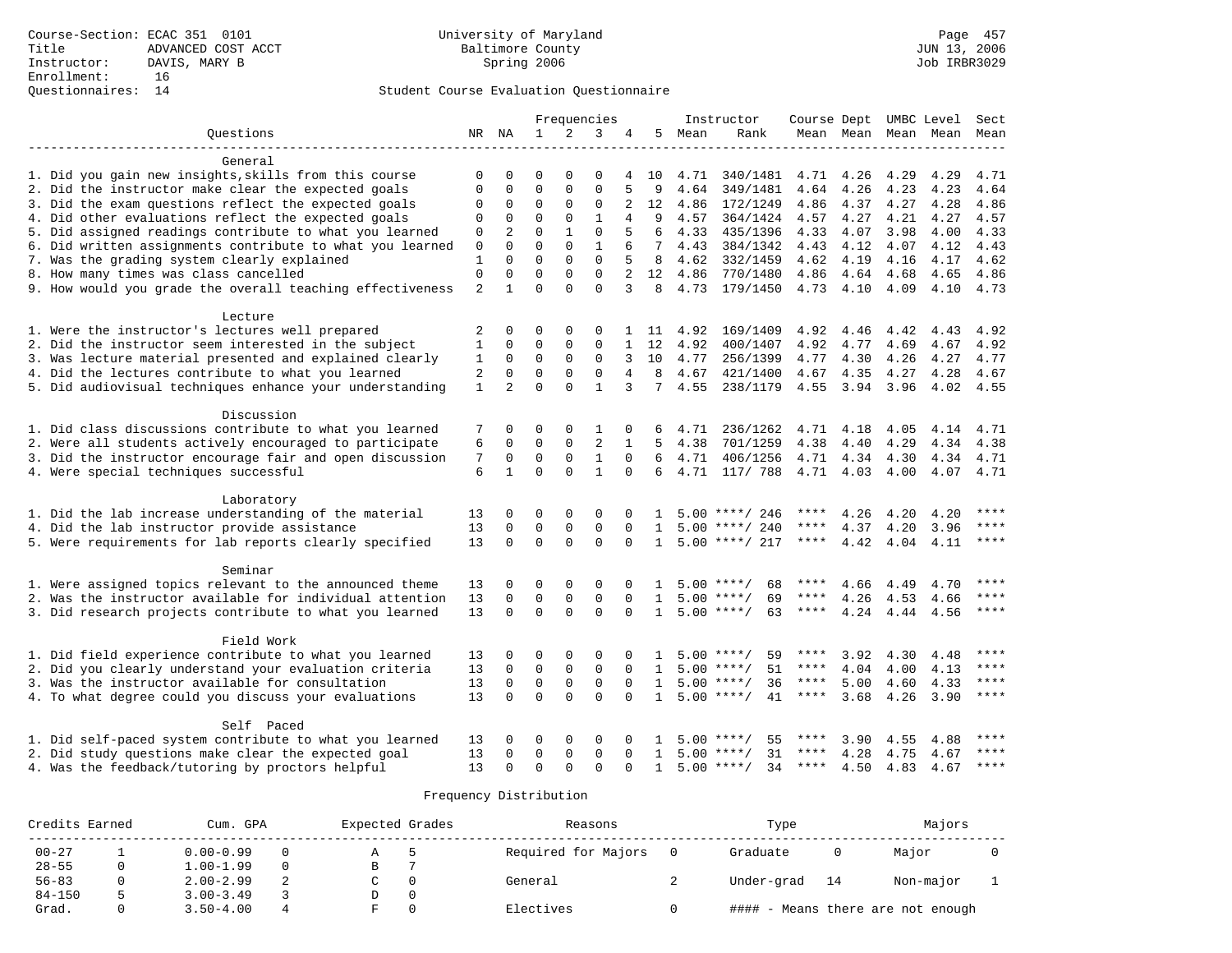# Questionnaires: 14 Student Course Evaluation Questionnaire

|                                                           |                |                | Frequencies  |              |                |                | Instructor      | Course Dept UMBC Level Sect |                    |             |           |      |                          |           |
|-----------------------------------------------------------|----------------|----------------|--------------|--------------|----------------|----------------|-----------------|-----------------------------|--------------------|-------------|-----------|------|--------------------------|-----------|
| Ouestions                                                 |                | NR NA          | $\mathbf{1}$ | 2            | 3              | 4              | 5               | Mean                        | Rank               |             |           |      | Mean Mean Mean Mean Mean |           |
| General                                                   |                |                |              |              |                |                |                 |                             |                    |             |           |      |                          |           |
| 1. Did you gain new insights, skills from this course     | 0              | 0              | $\Omega$     | $\Omega$     | 0              | 4              | 10              | 4.71                        | 340/1481           | 4.71        | 4.26      | 4.29 | 4.29                     | 4.71      |
| 2. Did the instructor make clear the expected goals       | $\mathbf 0$    | 0              | $\mathbf 0$  | $\mathbf{0}$ | $\mathbf{0}$   | 5              | 9               | 4.64                        | 349/1481           | 4.64        | 4.26      | 4.23 | 4.23                     | 4.64      |
| 3. Did the exam questions reflect the expected goals      | 0              | 0              | 0            | 0            | 0              | 2              | 12              | 4.86                        | 172/1249           | 4.86        | 4.37      | 4.27 | 4.28                     | 4.86      |
| 4. Did other evaluations reflect the expected goals       | $\mathbf 0$    | $\mathbf{0}$   | $\mathbf 0$  | $\mathbf 0$  | $\mathbf{1}$   | $\overline{4}$ | 9               | 4.57                        | 364/1424           | 4.57        | 4.27      | 4.21 | 4.27                     | 4.57      |
| 5. Did assigned readings contribute to what you learned   | $\mathbf 0$    | $\overline{2}$ | $\Omega$     | $\mathbf{1}$ | $\Omega$       |                | 6               | 4.33                        | 435/1396           | 4.33        | 4.07      | 3.98 | 4.00                     | 4.33      |
| 6. Did written assignments contribute to what you learned | 0              | $\Omega$       | $\Omega$     | $\Omega$     | 1              |                | $7\phantom{.0}$ | 4.43                        | 384/1342           | 4.43        | 4.12      | 4.07 | 4.12                     | 4.43      |
| 7. Was the grading system clearly explained               | 1              | $\Omega$       | $\Omega$     | $\Omega$     | $\mathbf{0}$   | 5              | 8               | 4.62                        | 332/1459           | 4.62        | 4.19      | 4.16 | 4.17                     | 4.62      |
| 8. How many times was class cancelled                     | $\mathbf{0}$   | $\mathbf{0}$   | $\mathbf 0$  | $\mathbf 0$  | $\mathbf 0$    | 2              | 12              | 4.86                        | 770/1480           | 4.86        | 4.64      | 4.68 | 4.65                     | 4.86      |
| 9. How would you grade the overall teaching effectiveness | $\overline{a}$ | $\mathbf{1}$   | $\Omega$     | $\Omega$     | $\Omega$       | 3              | 8               | 4.73                        | 179/1450           |             | 4.73 4.10 | 4.09 | 4.10                     | 4.73      |
| Lecture                                                   |                |                |              |              |                |                |                 |                             |                    |             |           |      |                          |           |
| 1. Were the instructor's lectures well prepared           | 2              | $\Omega$       | 0            | 0            | $\Omega$       |                | 1 11            | 4.92                        | 169/1409           | 4.92        | 4.46      | 4.42 | 4.43                     | 4.92      |
| 2. Did the instructor seem interested in the subject      | 1              | $\Omega$       | $\mathbf 0$  | $\mathbf{0}$ | 0              | $\mathbf{1}$   | 12              | 4.92                        | 400/1407           | 4.92        | 4.77      | 4.69 | 4.67                     | 4.92      |
| 3. Was lecture material presented and explained clearly   | 1              | $\mathbf 0$    | $\mathbf 0$  | $\mathbf{0}$ | $\mathbf 0$    | 3              | 10              | 4.77                        | 256/1399           | 4.77        | 4.30      | 4.26 | 4.27                     | 4.77      |
| 4. Did the lectures contribute to what you learned        | $\overline{2}$ | $\mathbf 0$    | $\mathbf 0$  | $\mathbf 0$  | $\mathbf 0$    | 4              | 8               | 4.67                        | 421/1400           | 4.67        | 4.35      | 4.27 | 4.28                     | 4.67      |
| 5. Did audiovisual techniques enhance your understanding  | $\mathbf{1}$   | $\overline{a}$ | $\Omega$     | $\Omega$     | $\mathbf{1}$   | 3              | 7               | 4.55                        | 238/1179           | 4.55        | 3.94      | 3.96 | 4.02                     | 4.55      |
|                                                           |                |                |              |              |                |                |                 |                             |                    |             |           |      |                          |           |
| Discussion                                                |                |                |              |              |                |                |                 |                             |                    |             |           |      |                          |           |
| 1. Did class discussions contribute to what you learned   | 7              | $\mathbf 0$    | 0            | 0            | 1              | 0              | 6               | 4.71                        | 236/1262           | 4.71        | 4.18      | 4.05 | 4.14                     | 4.71      |
| 2. Were all students actively encouraged to participate   | 6              | $\Omega$       | $\Omega$     | $\mathbf 0$  | $\overline{2}$ | 1              | 5.              | 4.38                        | 701/1259           | 4.38        | 4.40      | 4.29 | 4.34                     | 4.38      |
| 3. Did the instructor encourage fair and open discussion  | 7              | $\mathbf 0$    | $\mathbf 0$  | $\mathbf 0$  | $\mathbf{1}$   | $\Omega$       | 6               | 4.71                        | 406/1256           | 4.71        | 4.34      | 4.30 | 4.34                     | 4.71      |
| 4. Were special techniques successful                     | 6              | $\mathbf{1}$   | $\Omega$     | $\Omega$     | $\mathbf{1}$   | $\Omega$       | 6               |                             | 4.71 117/ 788      |             | 4.71 4.03 | 4.00 |                          | 4.07 4.71 |
| Laboratory                                                |                |                |              |              |                |                |                 |                             |                    |             |           |      |                          |           |
| 1. Did the lab increase understanding of the material     | 13             | 0              | 0            | 0            | 0              | 0              | 1               |                             | $5.00$ ****/ 246   |             | 4.26      | 4.20 | 4.20                     | ****      |
| 4. Did the lab instructor provide assistance              | 13             | $\mathbf 0$    | $\mathbf 0$  | $\mathsf 0$  | $\mathbf 0$    | $\mathbf 0$    | 1               |                             | $5.00$ ****/ 240   | $***$ * *   | 4.37      | 4.20 | 3.96                     | $***$     |
| 5. Were requirements for lab reports clearly specified    | 13             | $\Omega$       | $\Omega$     | $\Omega$     | $\Omega$       | $\Omega$       | $\mathbf{1}$    |                             | $5.00$ ****/ 217   | ****        | 4.42      | 4.04 | 4.11                     | $***$     |
| Seminar                                                   |                |                |              |              |                |                |                 |                             |                    |             |           |      |                          |           |
| 1. Were assigned topics relevant to the announced theme   | 13             | 0              | 0            | 0            | 0              | 0              | 1               |                             | $5.00$ ****/<br>68 |             | 4.66      | 4.49 | 4.70                     | $***$     |
| 2. Was the instructor available for individual attention  | 13             | $\mathbf 0$    | $\mathbf 0$  | $\mathbf{0}$ | $\Omega$       | $\Omega$       | $\mathbf{1}$    |                             | $5.00$ ****/<br>69 | $***$ * *   | 4.26      | 4.53 | 4.66                     | ****      |
| 3. Did research projects contribute to what you learned   | 13             | $\Omega$       | $\Omega$     | $\Omega$     | $\Omega$       | $\Omega$       | $\mathbf{1}$    |                             | $5.00$ ****/<br>63 | ****        | 4.24      | 4.44 | 4.56                     | $***$     |
| Field Work                                                |                |                |              |              |                |                |                 |                             |                    |             |           |      |                          |           |
| 1. Did field experience contribute to what you learned    | 13             | 0              | 0            | 0            | 0              | 0              |                 |                             | $5.00$ ****/<br>59 | ****        | 3.92      | 4.30 | 4.48                     | ****      |
| 2. Did you clearly understand your evaluation criteria    | 13             | 0              | $\mathbf 0$  | $\mathbf 0$  | $\mathbf 0$    | $\Omega$       | 1               |                             | $5.00$ ****/<br>51 | ****        | 4.04      | 4.00 | 4.13                     | ****      |
| 3. Was the instructor available for consultation          | 13             | $\mathbf 0$    | $\mathbf 0$  | $\mathbf 0$  | $\mathbf 0$    | $\Omega$       | $\mathbf{1}$    |                             | $5.00$ ****/<br>36 | $***$ * *   | 5.00      | 4.60 | 4.33                     | $***$     |
| 4. To what degree could you discuss your evaluations      | 13             | $\Omega$       | $\Omega$     | $\Omega$     | $\Omega$       |                | $\mathbf{1}$    |                             | 41<br>$5.00$ ****/ | $***$ * * * | 3.68      | 4.26 | 3.90                     | $***$     |
| Self Paced                                                |                |                |              |              |                |                |                 |                             |                    |             |           |      |                          |           |
| 1. Did self-paced system contribute to what you learned   | 13             | 0              | 0            | 0            | 0              | 0              | 1               |                             | 55<br>$5.00$ ****/ |             | 3.90      | 4.55 | 4.88                     | ****      |
| 2. Did study questions make clear the expected goal       | 13             | $\Omega$       | $\Omega$     | $\mathbf{0}$ | $\Omega$       | $\Omega$       | 1               |                             | 31<br>$5.00$ ****/ | ****        | 4.28      | 4.75 | 4.67                     | ****      |
| 4. Was the feedback/tutoring by proctors helpful          | 13             | $\Omega$       | $\Omega$     | $\Omega$     | $\Omega$       | $\Omega$       | $\mathbf{1}$    |                             | $5.00$ ****/<br>34 | ****        | 4.50      |      | 4.83 4.67                | ****      |

### Frequency Distribution

| Credits Earned | Cum. GPA      |  | Expected Grades | Reasons             | Type       |    | Majors                            |  |  |
|----------------|---------------|--|-----------------|---------------------|------------|----|-----------------------------------|--|--|
| $00 - 27$      | $0.00 - 0.99$ |  |                 | Required for Majors | Graduate   |    | Major                             |  |  |
| $28 - 55$      | $1.00 - 1.99$ |  | в               |                     |            |    |                                   |  |  |
| $56 - 83$      | $2.00 - 2.99$ |  |                 | General             | Under-grad | 14 | Non-major                         |  |  |
| $84 - 150$     | $3.00 - 3.49$ |  |                 |                     |            |    |                                   |  |  |
| Grad.          | $3.50 - 4.00$ |  |                 | Electives           |            |    | #### - Means there are not enough |  |  |